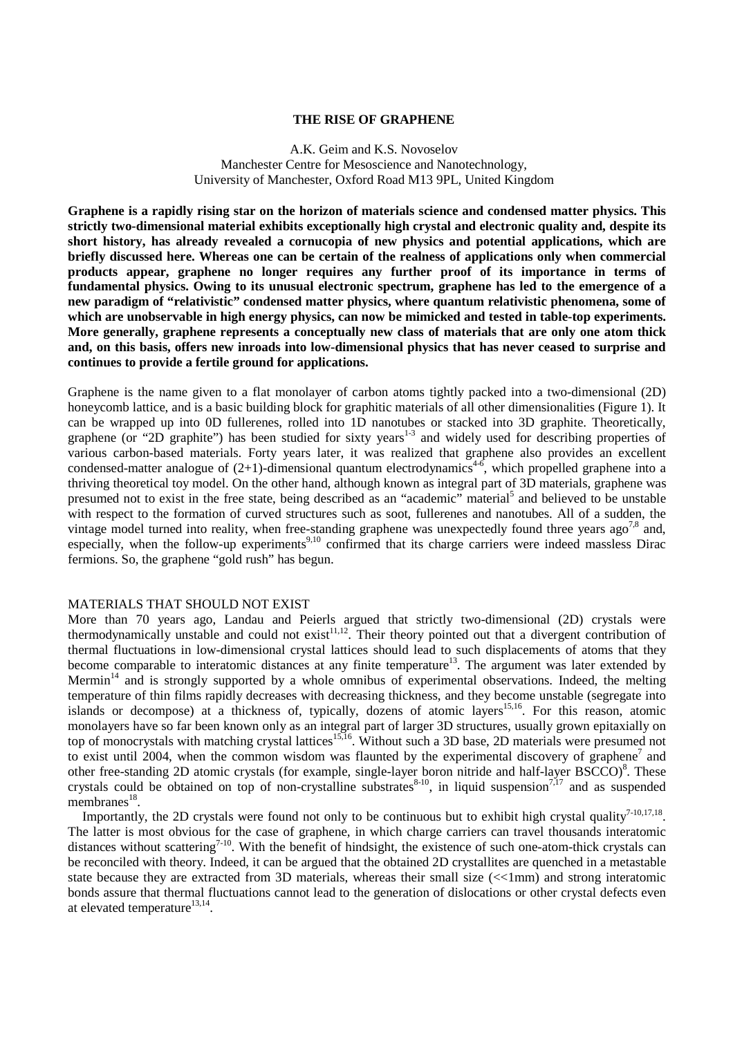# **THE RISE OF GRAPHENE**

## A.K. Geim and K.S. Novoselov Manchester Centre for Mesoscience and Nanotechnology, University of Manchester, Oxford Road M13 9PL, United Kingdom

**Graphene is a rapidly rising star on the horizon of materials science and condensed matter physics. This strictly two-dimensional material exhibits exceptionally high crystal and electronic quality and, despite its short history, has already revealed a cornucopia of new physics and potential applications, which are briefly discussed here. Whereas one can be certain of the realness of applications only when commercial products appear, graphene no longer requires any further proof of its importance in terms of fundamental physics. Owing to its unusual electronic spectrum, graphene has led to the emergence of a new paradigm of "relativistic" condensed matter physics, where quantum relativistic phenomena, some of which are unobservable in high energy physics, can now be mimicked and tested in table-top experiments. More generally, graphene represents a conceptually new class of materials that are only one atom thick and, on this basis, offers new inroads into low-dimensional physics that has never ceased to surprise and continues to provide a fertile ground for applications.** 

Graphene is the name given to a flat monolayer of carbon atoms tightly packed into a two-dimensional (2D) honeycomb lattice, and is a basic building block for graphitic materials of all other dimensionalities (Figure 1). It can be wrapped up into 0D fullerenes, rolled into 1D nanotubes or stacked into 3D graphite. Theoretically, graphene (or "2D graphite") has been studied for sixty years<sup>1-3</sup> and widely used for describing properties of various carbon-based materials. Forty years later, it was realized that graphene also provides an excellent condensed-matter analogue of  $(2+1)$ -dimensional quantum electrodynamics<sup>4-6</sup>, which propelled graphene into a thriving theoretical toy model. On the other hand, although known as integral part of 3D materials, graphene was presumed not to exist in the free state, being described as an "academic" material<sup>5</sup> and believed to be unstable with respect to the formation of curved structures such as soot, fullerenes and nanotubes. All of a sudden, the vintage model turned into reality, when free-standing graphene was unexpectedly found three years ago<sup>7,8</sup> and, especially, when the follow-up experiments<sup>9,10</sup> confirmed that its charge carriers were indeed massless Dirac fermions. So, the graphene "gold rush" has begun.

### MATERIALS THAT SHOULD NOT EXIST

More than 70 years ago, Landau and Peierls argued that strictly two-dimensional (2D) crystals were thermodynamically unstable and could not exist<sup>11,12</sup>. Their theory pointed out that a divergent contribution of thermal fluctuations in low-dimensional crystal lattices should lead to such displacements of atoms that they become comparable to interatomic distances at any finite temperature<sup>13</sup>. The argument was later extended by Mermin $14$  and is strongly supported by a whole omnibus of experimental observations. Indeed, the melting temperature of thin films rapidly decreases with decreasing thickness, and they become unstable (segregate into islands or decompose) at a thickness of, typically, dozens of atomic layers<sup>15,16</sup>. For this reason, atomic monolayers have so far been known only as an integral part of larger 3D structures, usually grown epitaxially on top of monocrystals with matching crystal lattices<sup>15,16</sup>. Without such a 3D base, 2D materials were presumed not to exist until 2004, when the common wisdom was flaunted by the experimental discovery of graphene<sup>7</sup> and other free-standing 2D atomic crystals (for example, single-layer boron nitride and half-layer  $\text{BSCCO}\$ <sup>8</sup>. These crystals could be obtained on top of non-crystalline substrates $8-10$ , in liquid suspension<sup>7,17</sup> and as suspended membranes $^{18}$ .

Importantly, the 2D crystals were found not only to be continuous but to exhibit high crystal quality<sup>7-10,17,18</sup>. The latter is most obvious for the case of graphene, in which charge carriers can travel thousands interatomic distances without scattering<sup>7-10</sup>. With the benefit of hindsight, the existence of such one-atom-thick crystals can be reconciled with theory. Indeed, it can be argued that the obtained 2D crystallites are quenched in a metastable state because they are extracted from 3D materials, whereas their small size (<<1mm) and strong interatomic bonds assure that thermal fluctuations cannot lead to the generation of dislocations or other crystal defects even at elevated temperature $13,14$ .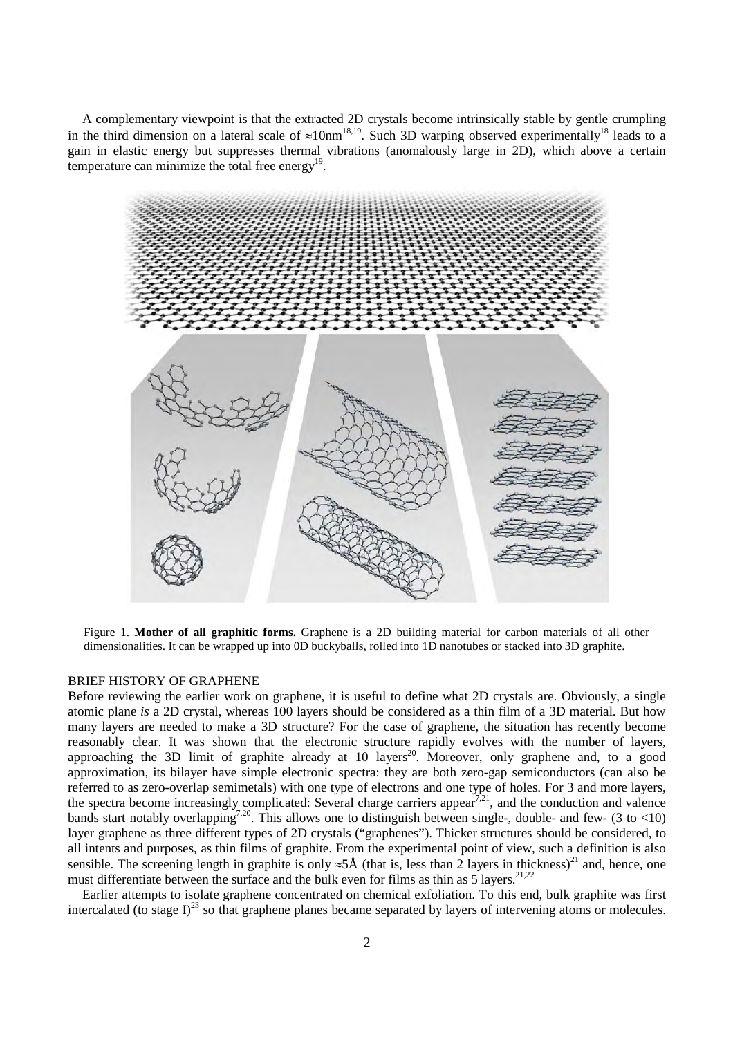A complementary viewpoint is that the extracted 2D crystals become intrinsically stable by gentle crumpling in the third dimension on a lateral scale of  $\approx 10$ nm<sup>18,19</sup>. Such 3D warping observed experimentally<sup>18</sup> leads to a gain in elastic energy but suppresses thermal vibrations (anomalously large in 2D), which above a certain temperature can minimize the total free energy<sup>19</sup>.



Figure 1. **Mother of all graphitic forms.** Graphene is a 2D building material for carbon materials of all other dimensionalities. It can be wrapped up into 0D buckyballs, rolled into 1D nanotubes or stacked into 3D graphite.

# BRIEF HISTORY OF GRAPHENE

Before reviewing the earlier work on graphene, it is useful to define what 2D crystals are. Obviously, a single atomic plane *is* a 2D crystal, whereas 100 layers should be considered as a thin film of a 3D material. But how many layers are needed to make a 3D structure? For the case of graphene, the situation has recently become reasonably clear. It was shown that the electronic structure rapidly evolves with the number of layers, approaching the 3D limit of graphite already at 10 layers<sup>20</sup>. Moreover, only graphene and, to a good approximation, its bilayer have simple electronic spectra: they are both zero-gap semiconductors (can also be referred to as zero-overlap semimetals) with one type of electrons and one type of holes. For 3 and more layers, the spectra become increasingly complicated: Several charge carriers appear<sup>7,21</sup>, and the conduction and valence bands start notably overlapping<sup>7,20</sup>. This allows one to distinguish between single-, double- and few- (3 to <10) layer graphene as three different types of 2D crystals ("graphenes"). Thicker structures should be considered, to all intents and purposes, as thin films of graphite. From the experimental point of view, such a definition is also sensible. The screening length in graphite is only  $\approx$ 5Å (that is, less than 2 layers in thickness)<sup>21</sup> and, hence, one must differentiate between the surface and the bulk even for films as thin as  $5$  layers.<sup>21,22</sup>

Earlier attempts to isolate graphene concentrated on chemical exfoliation. To this end, bulk graphite was first intercalated (to stage  $I^{23}$  so that graphene planes became separated by layers of intervening atoms or molecules.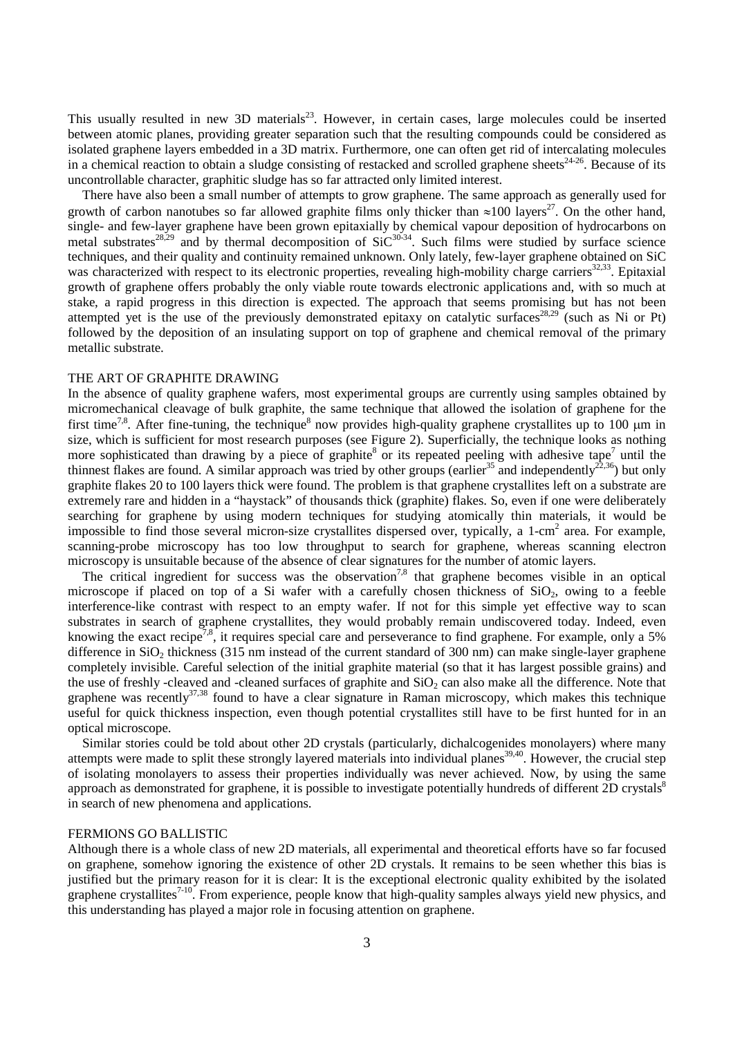This usually resulted in new 3D materials $^{23}$ . However, in certain cases, large molecules could be inserted between atomic planes, providing greater separation such that the resulting compounds could be considered as isolated graphene layers embedded in a 3D matrix. Furthermore, one can often get rid of intercalating molecules in a chemical reaction to obtain a sludge consisting of restacked and scrolled graphene sheets<sup>24-26</sup>. Because of its uncontrollable character, graphitic sludge has so far attracted only limited interest.

There have also been a small number of attempts to grow graphene. The same approach as generally used for growth of carbon nanotubes so far allowed graphite films only thicker than  $\approx 100$  layers<sup>27</sup>. On the other hand, single- and few-layer graphene have been grown epitaxially by chemical vapour deposition of hydrocarbons on metal substrates<sup>28,29</sup> and by thermal decomposition of  $SiC^{30-34}$ . Such films were studied by surface science techniques, and their quality and continuity remained unknown. Only lately, few-layer graphene obtained on SiC was characterized with respect to its electronic properties, revealing high-mobility charge carriers $32,33$ . Epitaxial growth of graphene offers probably the only viable route towards electronic applications and, with so much at stake, a rapid progress in this direction is expected. The approach that seems promising but has not been attempted yet is the use of the previously demonstrated epitaxy on catalytic surfaces<sup>28,29</sup> (such as Ni or Pt) followed by the deposition of an insulating support on top of graphene and chemical removal of the primary metallic substrate.

### THE ART OF GRAPHITE DRAWING

In the absence of quality graphene wafers, most experimental groups are currently using samples obtained by micromechanical cleavage of bulk graphite, the same technique that allowed the isolation of graphene for the first time<sup>7,8</sup>. After fine-tuning, the technique<sup>8</sup> now provides high-quality graphene crystallites up to 100  $\mu$ m in size, which is sufficient for most research purposes (see Figure 2). Superficially, the technique looks as nothing more sophisticated than drawing by a piece of graphite<sup>8</sup> or its repeated peeling with adhesive tape<sup>7</sup> until the thinnest flakes are found. A similar approach was tried by other groups (earlier<sup>35</sup> and independently<sup>22,36</sup>) but only graphite flakes 20 to 100 layers thick were found. The problem is that graphene crystallites left on a substrate are extremely rare and hidden in a "haystack" of thousands thick (graphite) flakes. So, even if one were deliberately searching for graphene by using modern techniques for studying atomically thin materials, it would be impossible to find those several micron-size crystallites dispersed over, typically, a 1-cm<sup>2</sup> area. For example, scanning-probe microscopy has too low throughput to search for graphene, whereas scanning electron microscopy is unsuitable because of the absence of clear signatures for the number of atomic layers.

The critical ingredient for success was the observation<sup>7,8</sup> that graphene becomes visible in an optical microscope if placed on top of a Si wafer with a carefully chosen thickness of SiO2, owing to a feeble interference-like contrast with respect to an empty wafer. If not for this simple yet effective way to scan substrates in search of graphene crystallites, they would probably remain undiscovered today. Indeed, even knowing the exact recipe<sup>7,8</sup>, it requires special care and perseverance to find graphene. For example, only a 5% difference in  $SiO<sub>2</sub>$  thickness (315 nm instead of the current standard of 300 nm) can make single-layer graphene completely invisible. Careful selection of the initial graphite material (so that it has largest possible grains) and the use of freshly -cleaved and -cleaned surfaces of graphite and  $SiO<sub>2</sub>$  can also make all the difference. Note that graphene was recently<sup>37,38</sup> found to have a clear signature in Raman microscopy, which makes this technique useful for quick thickness inspection, even though potential crystallites still have to be first hunted for in an optical microscope.

Similar stories could be told about other 2D crystals (particularly, dichalcogenides monolayers) where many attempts were made to split these strongly layered materials into individual planes<sup>39,40</sup>. However, the crucial step of isolating monolayers to assess their properties individually was never achieved. Now, by using the same approach as demonstrated for graphene, it is possible to investigate potentially hundreds of different  $2D$  crystals<sup>8</sup> in search of new phenomena and applications.

# FERMIONS GO BALLISTIC

Although there is a whole class of new 2D materials, all experimental and theoretical efforts have so far focused on graphene, somehow ignoring the existence of other 2D crystals. It remains to be seen whether this bias is justified but the primary reason for it is clear: It is the exceptional electronic quality exhibited by the isolated graphene crystallites<sup>7-10</sup>. From experience, people know that high-quality samples always yield new physics, and this understanding has played a major role in focusing attention on graphene.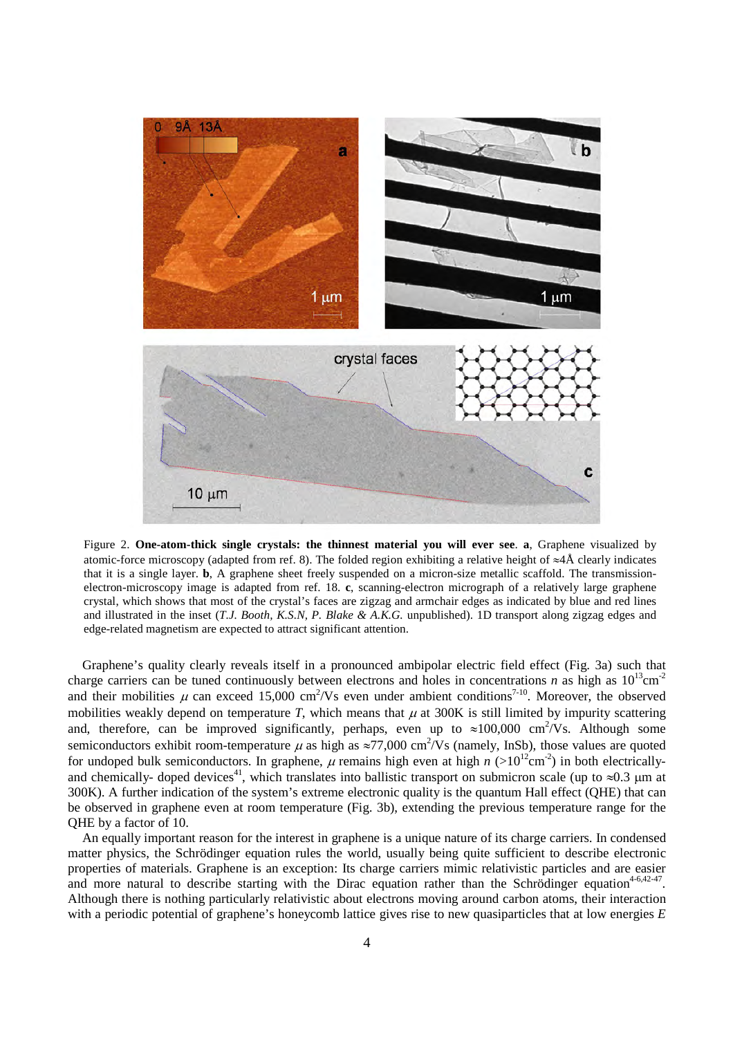

Figure 2. **One-atom-thick single crystals: the thinnest material you will ever see**. **a**, Graphene visualized by atomic-force microscopy (adapted from ref. 8). The folded region exhibiting a relative height of ≈4Å clearly indicates that it is a single layer. **b**, A graphene sheet freely suspended on a micron-size metallic scaffold. The transmissionelectron-microscopy image is adapted from ref. 18. **c**, scanning-electron micrograph of a relatively large graphene crystal, which shows that most of the crystal's faces are zigzag and armchair edges as indicated by blue and red lines and illustrated in the inset (*T.J. Booth, K.S.N, P. Blake & A.K.G.* unpublished). 1D transport along zigzag edges and edge-related magnetism are expected to attract significant attention.

Graphene's quality clearly reveals itself in a pronounced ambipolar electric field effect (Fig. 3a) such that charge carriers can be tuned continuously between electrons and holes in concentrations *n* as high as  $10^{13}$ cm<sup>-2</sup> and their mobilities  $\mu$  can exceed 15,000 cm<sup>2</sup>/Vs even under ambient conditions<sup>7-10</sup>. Moreover, the observed mobilities weakly depend on temperature  $T$ , which means that  $\mu$  at 300K is still limited by impurity scattering and, therefore, can be improved significantly, perhaps, even up to  $\approx 100,000$  cm<sup>2</sup>/Vs. Although some semiconductors exhibit room-temperature  $\mu$  as high as  $\approx$ 77,000 cm<sup>2</sup>/Vs (namely, InSb), those values are quoted for undoped bulk semiconductors. In graphene,  $\mu$  remains high even at high  $n$  (>10<sup>12</sup>cm<sup>-2</sup>) in both electricallyand chemically- doped devices<sup>41</sup>, which translates into ballistic transport on submicron scale (up to  $\approx 0.3$  µm at 300K). A further indication of the system's extreme electronic quality is the quantum Hall effect (QHE) that can be observed in graphene even at room temperature (Fig. 3b), extending the previous temperature range for the QHE by a factor of 10.

An equally important reason for the interest in graphene is a unique nature of its charge carriers. In condensed matter physics, the Schrödinger equation rules the world, usually being quite sufficient to describe electronic properties of materials. Graphene is an exception: Its charge carriers mimic relativistic particles and are easier and more natural to describe starting with the Dirac equation rather than the Schrödinger equation<sup>4-6,42-47</sup>. Although there is nothing particularly relativistic about electrons moving around carbon atoms, their interaction with a periodic potential of graphene's honeycomb lattice gives rise to new quasiparticles that at low energies *E*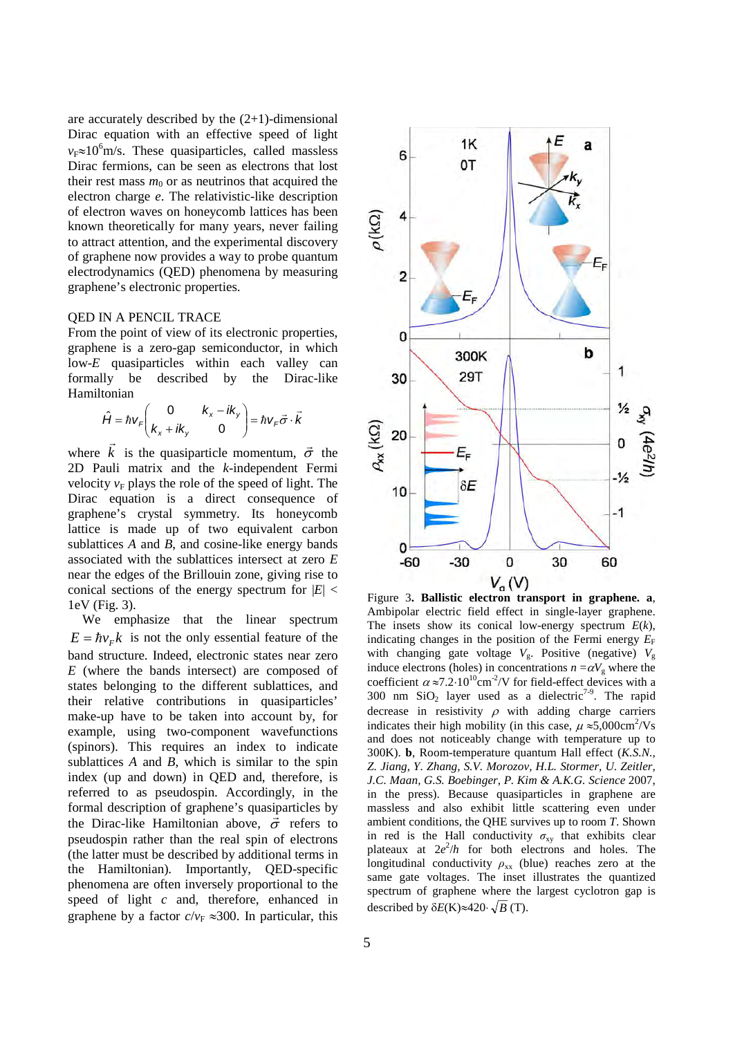are accurately described by the (2+1)-dimensional Dirac equation with an effective speed of light *v*<sub>F</sub>≈10<sup>6</sup>m/s. These quasiparticles, called massless Dirac fermions, can be seen as electrons that lost their rest mass  $m_0$  or as neutrinos that acquired the electron charge *e*. The relativistic-like description of electron waves on honeycomb lattices has been known theoretically for many years, never failing to attract attention, and the experimental discovery of graphene now provides a way to probe quantum electrodynamics (QED) phenomena by measuring graphene's electronic properties.

### QED IN A PENCIL TRACE

From the point of view of its electronic properties, graphene is a zero-gap semiconductor, in which low-*E* quasiparticles within each valley can formally be described by the Dirac-like Hamiltonian

$$
\hat{H} = \hbar v_F \begin{pmatrix} 0 & k_x - ik_y \\ k_x + ik_y & 0 \end{pmatrix} = \hbar v_F \vec{\sigma} \cdot \vec{k}
$$

where *k*  $\vec{k}$  is the quasiparticle momentum,  $\vec{\sigma}$  the 2D Pauli matrix and the *k*-independent Fermi velocity  $v_F$  plays the role of the speed of light. The Dirac equation is a direct consequence of graphene's crystal symmetry. Its honeycomb lattice is made up of two equivalent carbon sublattices *A* and *B*, and cosine-like energy bands associated with the sublattices intersect at zero *E* near the edges of the Brillouin zone, giving rise to conical sections of the energy spectrum for  $|E|$  < 1eV (Fig. 3).

We emphasize that the linear spectrum  $E = \hbar v_F k$  is not the only essential feature of the band structure. Indeed, electronic states near zero *E* (where the bands intersect) are composed of states belonging to the different sublattices, and their relative contributions in quasiparticles' make-up have to be taken into account by, for example, using two-component wavefunctions (spinors). This requires an index to indicate sublattices *A* and *B*, which is similar to the spin index (up and down) in QED and, therefore, is referred to as pseudospin. Accordingly, in the formal description of graphene's quasiparticles by the Dirac-like Hamiltonian above,  $\vec{\sigma}$  refers to pseudospin rather than the real spin of electrons (the latter must be described by additional terms in the Hamiltonian). Importantly, QED-specific phenomena are often inversely proportional to the speed of light *c* and, therefore, enhanced in graphene by a factor  $c/v_F \approx 300$ . In particular, this



Figure 3**. Ballistic electron transport in graphene. a**, Ambipolar electric field effect in single-layer graphene. The insets show its conical low-energy spectrum *E*(*k*), indicating changes in the position of the Fermi energy  $E_F$ with changing gate voltage  $V_g$ . Positive (negative)  $V_g$ induce electrons (holes) in concentrations  $n = \alpha V_g$  where the coefficient  $\alpha \approx 7.2 \cdot 10^{10}$ cm<sup>-2</sup>/V for field-effect devices with a 300 nm  $SiO<sub>2</sub>$  layer used as a dielectric<sup>7-9</sup>. The rapid decrease in resistivity  $\rho$  with adding charge carriers indicates their high mobility (in this case,  $\mu \approx 5,000 \text{cm}^2/\text{Vs}$ and does not noticeably change with temperature up to 300K). **b**, Room-temperature quantum Hall effect (*K.S.N., Z. Jiang, Y. Zhang, S.V. Morozov, H.L. Stormer, U. Zeitler, J.C. Maan, G.S. Boebinger, P. Kim & A.K.G. Science* 2007, in the press). Because quasiparticles in graphene are massless and also exhibit little scattering even under ambient conditions, the QHE survives up to room *T*. Shown in red is the Hall conductivity  $\sigma_{xy}$  that exhibits clear plateaux at  $2e^2/h$  for both electrons and holes. The longitudinal conductivity  $\rho_{xx}$  (blue) reaches zero at the same gate voltages. The inset illustrates the quantized spectrum of graphene where the largest cyclotron gap is described by  $\delta E(K) \approx 420 \cdot \sqrt{B}$  (T).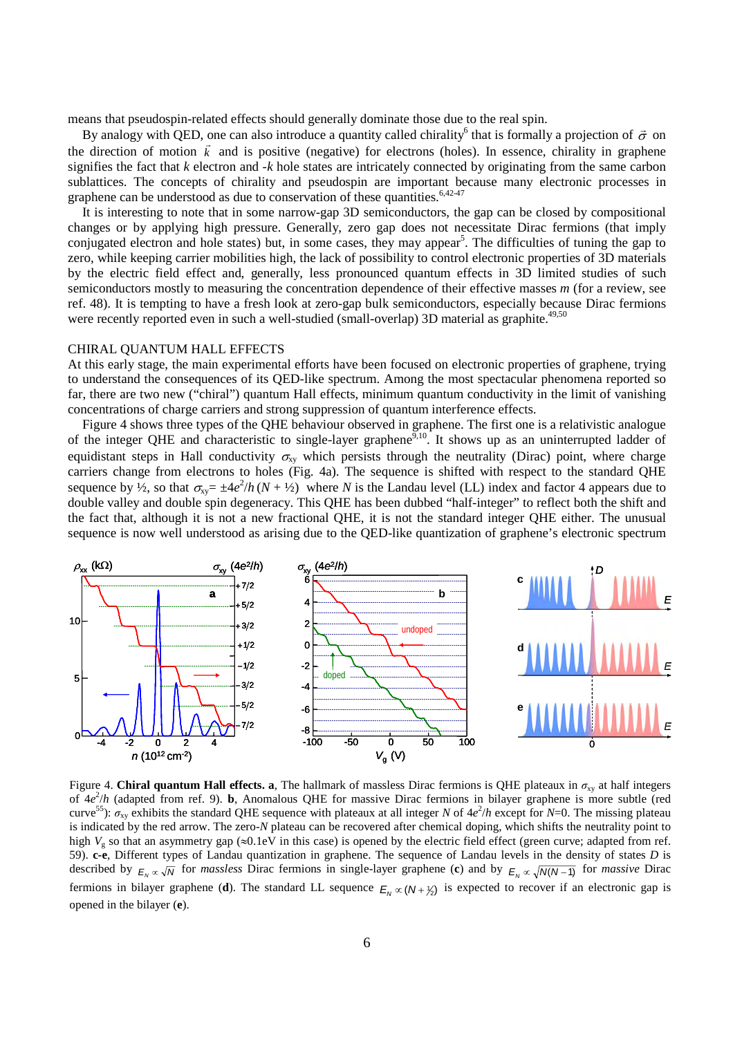means that pseudospin-related effects should generally dominate those due to the real spin.

By analogy with QED, one can also introduce a quantity called chirality<sup>6</sup> that is formally a projection of  $\vec{\sigma}$  on the direction of motion  $\vec{k}$  and is positive (negative) for electrons (holes). In essence, chirality in graphene signifies the fact that *k* electron and *-k* hole states are intricately connected by originating from the same carbon sublattices. The concepts of chirality and pseudospin are important because many electronic processes in graphene can be understood as due to conservation of these quantities.<sup>6,42-47</sup>

It is interesting to note that in some narrow-gap 3D semiconductors, the gap can be closed by compositional changes or by applying high pressure. Generally, zero gap does not necessitate Dirac fermions (that imply conjugated electron and hole states) but, in some cases, they may appear<sup>5</sup>. The difficulties of tuning the gap to zero, while keeping carrier mobilities high, the lack of possibility to control electronic properties of 3D materials by the electric field effect and, generally, less pronounced quantum effects in 3D limited studies of such semiconductors mostly to measuring the concentration dependence of their effective masses *m* (for a review, see ref. 48). It is tempting to have a fresh look at zero-gap bulk semiconductors, especially because Dirac fermions were recently reported even in such a well-studied (small-overlap) 3D material as graphite.<sup>49,50</sup>

#### CHIRAL QUANTUM HALL EFFECTS

At this early stage, the main experimental efforts have been focused on electronic properties of graphene, trying to understand the consequences of its QED-like spectrum. Among the most spectacular phenomena reported so far, there are two new ("chiral") quantum Hall effects, minimum quantum conductivity in the limit of vanishing concentrations of charge carriers and strong suppression of quantum interference effects.

Figure 4 shows three types of the QHE behaviour observed in graphene. The first one is a relativistic analogue of the integer QHE and characteristic to single-layer graphene<sup>9,10</sup>. It shows up as an uninterrupted ladder of equidistant steps in Hall conductivity  $\sigma_{xy}$  which persists through the neutrality (Dirac) point, where charge carriers change from electrons to holes (Fig. 4a). The sequence is shifted with respect to the standard QHE sequence by  $\frac{1}{2}$ , so that  $\sigma_{xy} = \pm 4e^2/h (N + \frac{1}{2})$  where *N* is the Landau level (LL) index and factor 4 appears due to double valley and double spin degeneracy. This QHE has been dubbed "half-integer" to reflect both the shift and the fact that, although it is not a new fractional QHE, it is not the standard integer QHE either. The unusual sequence is now well understood as arising due to the QED-like quantization of graphene's electronic spectrum



Figure 4. **Chiral quantum Hall effects. a**, The hallmark of massless Dirac fermions is QHE plateaux in  $\sigma_{xy}$  at half integers of  $4e^{2}/h$  (adapted from ref. 9). **b**, Anomalous QHE for massive Dirac fermions in bilayer graphene is more subtle (red curve<sup>55</sup>):  $\sigma_{xy}$  exhibits the standard QHE sequence with plateaux at all integer *N* of  $4e^2/h$  except for *N*=0. The missing plateau is indicated by the red arrow. The zero-*N* plateau can be recovered after chemical doping, which shifts the neutrality point to high  $V_g$  so that an asymmetry gap ( $\approx 0.1$ eV in this case) is opened by the electric field effect (green curve; adapted from ref. 59). **c-e**, Different types of Landau quantization in graphene. The sequence of Landau levels in the density of states *D* is described by  $E_N \propto \sqrt{N}$  for *massless* Dirac fermions in single-layer graphene (**c**) and by  $E_N \propto \sqrt{N(N-1)}$  for *massive* Dirac fermions in bilayer graphene (**d**). The standard LL sequence  $E_N \propto (N + \frac{1}{2})$  is expected to recover if an electronic gap is opened in the bilayer (**e**).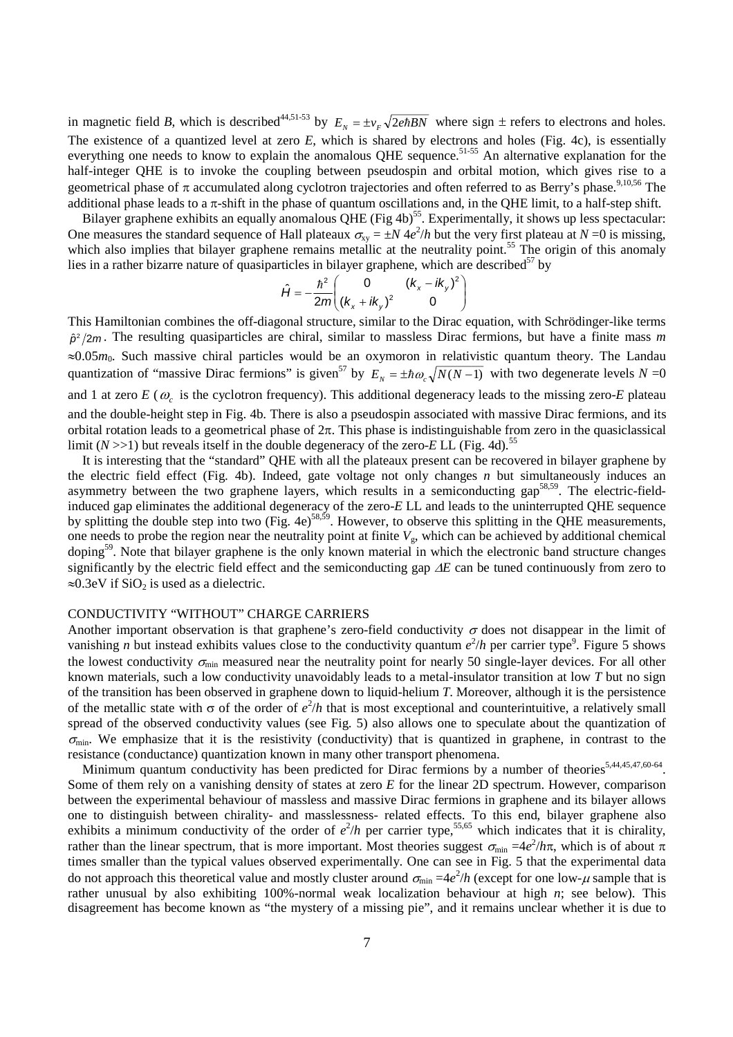in magnetic field *B*, which is described<sup>44,51-53</sup> by  $E_y = \pm v_f \sqrt{2ehBN}$  where sign  $\pm$  refers to electrons and holes. The existence of a quantized level at zero *E*, which is shared by electrons and holes (Fig. 4c), is essentially everything one needs to know to explain the anomalous QHE sequence.<sup>51-55</sup> An alternative explanation for the half-integer QHE is to invoke the coupling between pseudospin and orbital motion, which gives rise to a geometrical phase of  $\pi$  accumulated along cyclotron trajectories and often referred to as Berry's phase.<sup>9,10,56</sup> The additional phase leads to a  $\pi$ -shift in the phase of quantum oscillations and, in the QHE limit, to a half-step shift.

Bilayer graphene exhibits an equally anomalous QHE (Fig 4b)<sup>55</sup>. Experimentally, it shows up less spectacular: One measures the standard sequence of Hall plateaux  $\sigma_{xy} = \pm N \frac{4e^2}{h}$  but the very first plateau at  $N = 0$  is missing, which also implies that bilayer graphene remains metallic at the neutrality point.<sup>55</sup> The origin of this anomaly lies in a rather bizarre nature of quasiparticles in bilayer graphene, which are described $57$  by

$$
\hat{H} = -\frac{\hbar^2}{2m} \begin{pmatrix} 0 & (k_x - ik_y)^2 \\ (k_x + ik_y)^2 & 0 \end{pmatrix}
$$

This Hamiltonian combines the off-diagonal structure, similar to the Dirac equation, with Schrödinger-like terms  $\hat{p}^2$ /2*m*. The resulting quasiparticles are chiral, similar to massless Dirac fermions, but have a finite mass *m* ≈0.05*m*0. Such massive chiral particles would be an oxymoron in relativistic quantum theory. The Landau quantization of "massive Dirac fermions" is given<sup>57</sup> by  $E_y = \pm \hbar \omega_z \sqrt{N(N-1)}$  with two degenerate levels  $N = 0$ and 1 at zero  $E(\omega_c)$  is the cyclotron frequency). This additional degeneracy leads to the missing zero- $E$  plateau and the double-height step in Fig. 4b. There is also a pseudospin associated with massive Dirac fermions, and its orbital rotation leads to a geometrical phase of  $2\pi$ . This phase is indistinguishable from zero in the quasiclassical limit  $(N \gg 1)$  but reveals itself in the double degeneracy of the zero-*E* LL (Fig. 4d).<sup>55</sup>

It is interesting that the "standard" QHE with all the plateaux present can be recovered in bilayer graphene by the electric field effect (Fig. 4b). Indeed, gate voltage not only changes *n* but simultaneously induces an asymmetry between the two graphene layers, which results in a semiconducting gap<sup>58,59</sup>. The electric-fieldinduced gap eliminates the additional degeneracy of the zero-*E* LL and leads to the uninterrupted QHE sequence by splitting the double step into two (Fig. 4e)<sup>58,59</sup>. However, to observe this splitting in the QHE measurements, one needs to probe the region near the neutrality point at finite  $V_{\rm g}$ , which can be achieved by additional chemical doping<sup>59</sup>. Note that bilayer graphene is the only known material in which the electronic band structure changes significantly by the electric field effect and the semiconducting gap ∆*E* can be tuned continuously from zero to  $\approx 0.3$ eV if SiO<sub>2</sub> is used as a dielectric.

# CONDUCTIVITY "WITHOUT" CHARGE CARRIERS

Another important observation is that graphene's zero-field conductivity  $\sigma$  does not disappear in the limit of vanishing *n* but instead exhibits values close to the conductivity quantum  $e^{2/h}$  per carrier type<sup>9</sup>. Figure 5 shows the lowest conductivity  $\sigma_{\min}$  measured near the neutrality point for nearly 50 single-layer devices. For all other known materials, such a low conductivity unavoidably leads to a metal-insulator transition at low *T* but no sign of the transition has been observed in graphene down to liquid-helium *T*. Moreover, although it is the persistence of the metallic state with  $\sigma$  of the order of  $e^2/h$  that is most exceptional and counterintuitive, a relatively small spread of the observed conductivity values (see Fig. 5) also allows one to speculate about the quantization of  $\sigma_{\min}$ . We emphasize that it is the resistivity (conductivity) that is quantized in graphene, in contrast to the resistance (conductance) quantization known in many other transport phenomena.

Minimum quantum conductivity has been predicted for Dirac fermions by a number of theories<sup>5,44,45,47,60-64</sup>. Some of them rely on a vanishing density of states at zero *E* for the linear 2D spectrum. However, comparison between the experimental behaviour of massless and massive Dirac fermions in graphene and its bilayer allows one to distinguish between chirality- and masslessness- related effects. To this end, bilayer graphene also exhibits a minimum conductivity of the order of  $e^2/h$  per carrier type,<sup>55,65</sup> which indicates that it is chirality, rather than the linear spectrum, that is more important. Most theories suggest  $\sigma_{min} = 4e^2/h\pi$ , which is of about π times smaller than the typical values observed experimentally. One can see in Fig. 5 that the experimental data do not approach this theoretical value and mostly cluster around  $\sigma_{min} = 4e^2/h$  (except for one low- $\mu$  sample that is rather unusual by also exhibiting 100%-normal weak localization behaviour at high *n*; see below). This disagreement has become known as "the mystery of a missing pie", and it remains unclear whether it is due to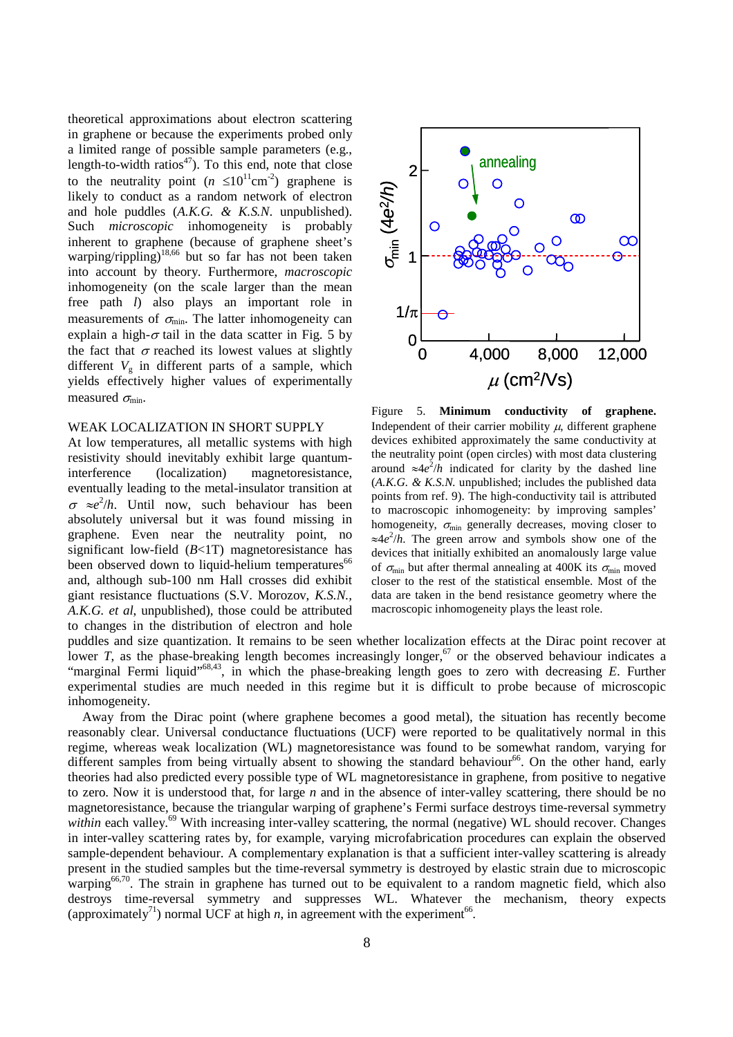theoretical approximations about electron scattering in graphene or because the experiments probed only a limited range of possible sample parameters (e.g., length-to-width ratios $47$ ). To this end, note that close to the neutrality point  $(n \leq 10^{11} \text{cm}^{-2})$  graphene is likely to conduct as a random network of electron and hole puddles (*A.K.G. & K.S.N*. unpublished). Such *microscopic* inhomogeneity is probably inherent to graphene (because of graphene sheet's warping/rippling) $18,66$  but so far has not been taken into account by theory. Furthermore, *macroscopic* inhomogeneity (on the scale larger than the mean free path *l*) also plays an important role in measurements of  $\sigma_{min}$ . The latter inhomogeneity can explain a high- $\sigma$  tail in the data scatter in Fig. 5 by the fact that  $\sigma$  reached its lowest values at slightly different  $V_g$  in different parts of a sample, which yields effectively higher values of experimentally measured  $\sigma_{\min}$ .

#### WEAK LOCALIZATION IN SHORT SUPPLY

At low temperatures, all metallic systems with high resistivity should inevitably exhibit large quantuminterference (localization) magnetoresistance, eventually leading to the metal-insulator transition at  $\sigma \approx e^2/h$ . Until now, such behaviour has been absolutely universal but it was found missing in graphene. Even near the neutrality point, no significant low-field (*B*<1T) magnetoresistance has been observed down to liquid-helium temperatures<sup>66</sup> and, although sub-100 nm Hall crosses did exhibit giant resistance fluctuations (S.V. Morozov, *K.S.N., A.K.G. et al*, unpublished), those could be attributed to changes in the distribution of electron and hole



Figure 5. **Minimum conductivity of graphene.** Independent of their carrier mobility  $\mu$ , different graphene devices exhibited approximately the same conductivity at the neutrality point (open circles) with most data clustering around  $\approx 4e^2/h$  indicated for clarity by the dashed line (*A.K.G. & K.S.N.* unpublished; includes the published data points from ref. 9). The high-conductivity tail is attributed to macroscopic inhomogeneity: by improving samples' homogeneity,  $\sigma_{\min}$  generally decreases, moving closer to ≈4*e* 2 /*h*. The green arrow and symbols show one of the devices that initially exhibited an anomalously large value of  $\sigma_{\min}$  but after thermal annealing at 400K its  $\sigma_{\min}$  moved closer to the rest of the statistical ensemble. Most of the data are taken in the bend resistance geometry where the macroscopic inhomogeneity plays the least role.

puddles and size quantization. It remains to be seen whether localization effects at the Dirac point recover at lower *T*, as the phase-breaking length becomes increasingly longer,<sup>67</sup> or the observed behaviour indicates a "marginal Fermi liquid"68,43, in which the phase-breaking length goes to zero with decreasing *E*. Further experimental studies are much needed in this regime but it is difficult to probe because of microscopic inhomogeneity.

Away from the Dirac point (where graphene becomes a good metal), the situation has recently become reasonably clear. Universal conductance fluctuations (UCF) were reported to be qualitatively normal in this regime, whereas weak localization (WL) magnetoresistance was found to be somewhat random, varying for different samples from being virtually absent to showing the standard behaviour<sup>66</sup>. On the other hand, early theories had also predicted every possible type of WL magnetoresistance in graphene, from positive to negative to zero. Now it is understood that, for large *n* and in the absence of inter-valley scattering, there should be no magnetoresistance, because the triangular warping of graphene's Fermi surface destroys time-reversal symmetry *within* each valley.<sup>69</sup> With increasing inter-valley scattering, the normal (negative) WL should recover. Changes in inter-valley scattering rates by, for example, varying microfabrication procedures can explain the observed sample-dependent behaviour. A complementary explanation is that a sufficient inter-valley scattering is already present in the studied samples but the time-reversal symmetry is destroyed by elastic strain due to microscopic warping<sup>66,70</sup>. The strain in graphene has turned out to be equivalent to a random magnetic field, which also destroys time-reversal symmetry and suppresses WL. Whatever the mechanism, theory expects (approximately<sup>71</sup>) normal UCF at high *n*, in agreement with the experiment<sup>66</sup>.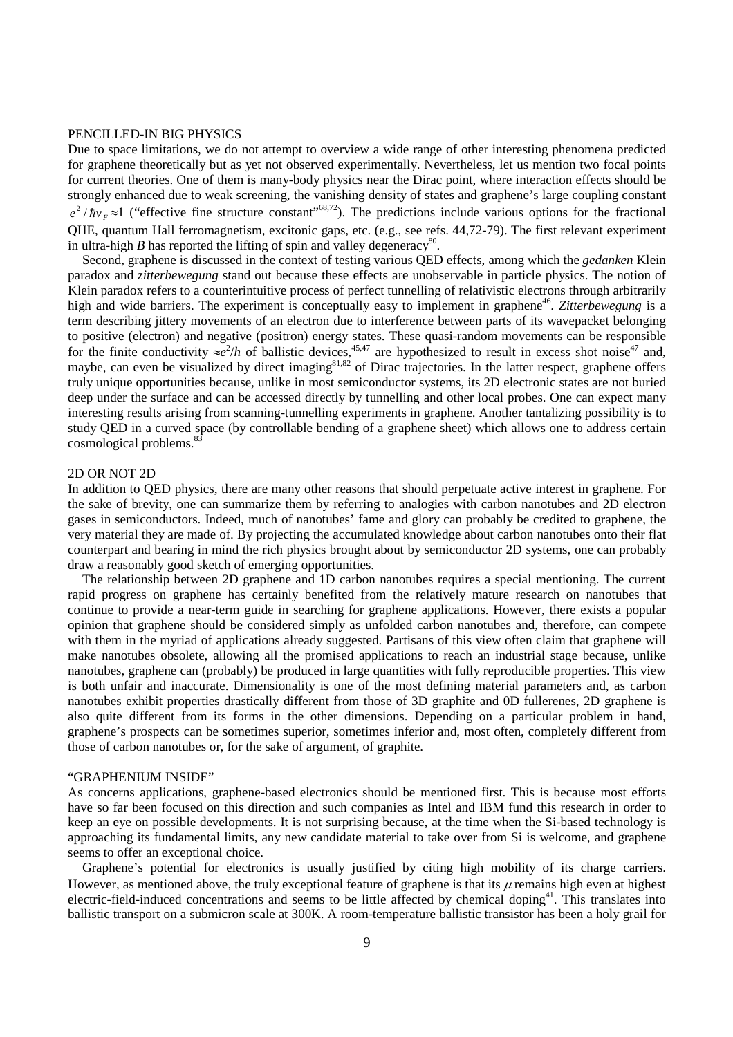#### PENCILLED-IN BIG PHYSICS

Due to space limitations, we do not attempt to overview a wide range of other interesting phenomena predicted for graphene theoretically but as yet not observed experimentally. Nevertheless, let us mention two focal points for current theories. One of them is many-body physics near the Dirac point, where interaction effects should be strongly enhanced due to weak screening, the vanishing density of states and graphene's large coupling constant  $e^{2}/\hbar v_{\rm F} \approx 1$  ("effective fine structure constant"<sup>68,72</sup>). The predictions include various options for the fractional QHE, quantum Hall ferromagnetism, excitonic gaps, etc. (e.g., see refs. 44,72-79). The first relevant experiment in ultra-high *B* has reported the lifting of spin and valley degeneracy<sup>80</sup>.

Second, graphene is discussed in the context of testing various QED effects, among which the *gedanken* Klein paradox and *zitterbewegung* stand out because these effects are unobservable in particle physics. The notion of Klein paradox refers to a counterintuitive process of perfect tunnelling of relativistic electrons through arbitrarily high and wide barriers. The experiment is conceptually easy to implement in graphene<sup>46</sup>. Zitterbewegung is a term describing jittery movements of an electron due to interference between parts of its wavepacket belonging to positive (electron) and negative (positron) energy states. These quasi-random movements can be responsible for the finite conductivity  $\approx e^2/h$  of ballistic devices,<sup>45,47</sup> are hypothesized to result in excess shot noise<sup>47</sup> and, maybe, can even be visualized by direct imaging $81,82$  of Dirac trajectories. In the latter respect, graphene offers truly unique opportunities because, unlike in most semiconductor systems, its 2D electronic states are not buried deep under the surface and can be accessed directly by tunnelling and other local probes. One can expect many interesting results arising from scanning-tunnelling experiments in graphene. Another tantalizing possibility is to study QED in a curved space (by controllable bending of a graphene sheet) which allows one to address certain cosmological problems.<sup>8</sup>

### 2D OR NOT 2D

In addition to QED physics, there are many other reasons that should perpetuate active interest in graphene. For the sake of brevity, one can summarize them by referring to analogies with carbon nanotubes and 2D electron gases in semiconductors. Indeed, much of nanotubes' fame and glory can probably be credited to graphene, the very material they are made of. By projecting the accumulated knowledge about carbon nanotubes onto their flat counterpart and bearing in mind the rich physics brought about by semiconductor 2D systems, one can probably draw a reasonably good sketch of emerging opportunities.

The relationship between 2D graphene and 1D carbon nanotubes requires a special mentioning. The current rapid progress on graphene has certainly benefited from the relatively mature research on nanotubes that continue to provide a near-term guide in searching for graphene applications. However, there exists a popular opinion that graphene should be considered simply as unfolded carbon nanotubes and, therefore, can compete with them in the myriad of applications already suggested. Partisans of this view often claim that graphene will make nanotubes obsolete, allowing all the promised applications to reach an industrial stage because, unlike nanotubes, graphene can (probably) be produced in large quantities with fully reproducible properties. This view is both unfair and inaccurate. Dimensionality is one of the most defining material parameters and, as carbon nanotubes exhibit properties drastically different from those of 3D graphite and 0D fullerenes, 2D graphene is also quite different from its forms in the other dimensions. Depending on a particular problem in hand, graphene's prospects can be sometimes superior, sometimes inferior and, most often, completely different from those of carbon nanotubes or, for the sake of argument, of graphite.

#### "GRAPHENIUM INSIDE"

As concerns applications, graphene-based electronics should be mentioned first. This is because most efforts have so far been focused on this direction and such companies as Intel and IBM fund this research in order to keep an eye on possible developments. It is not surprising because, at the time when the Si-based technology is approaching its fundamental limits, any new candidate material to take over from Si is welcome, and graphene seems to offer an exceptional choice.

Graphene's potential for electronics is usually justified by citing high mobility of its charge carriers. However, as mentioned above, the truly exceptional feature of graphene is that its  $\mu$  remains high even at highest electric-field-induced concentrations and seems to be little affected by chemical doping<sup>41</sup>. This translates into ballistic transport on a submicron scale at 300K. A room-temperature ballistic transistor has been a holy grail for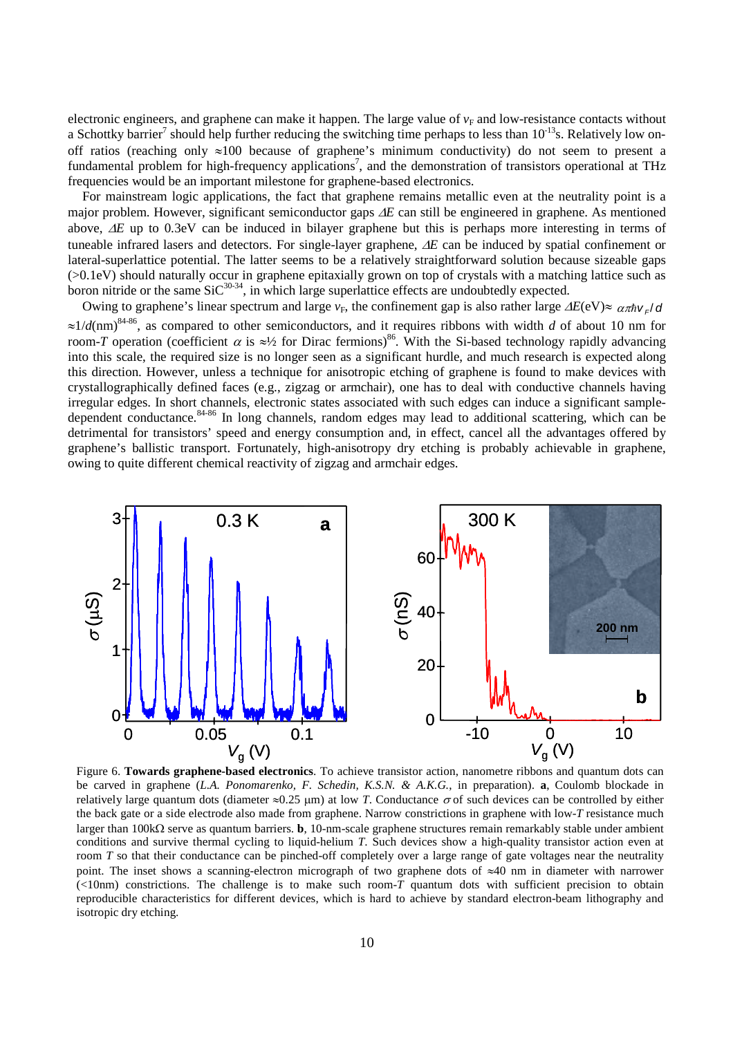electronic engineers, and graphene can make it happen. The large value of  $v_F$  and low-resistance contacts without a Schottky barrier<sup>7</sup> should help further reducing the switching time perhaps to less than  $10^{-13}$ s. Relatively low onoff ratios (reaching only  $\approx 100$  because of graphene's minimum conductivity) do not seem to present a fundamental problem for high-frequency applications<sup>7</sup>, and the demonstration of transistors operational at THz frequencies would be an important milestone for graphene-based electronics.

For mainstream logic applications, the fact that graphene remains metallic even at the neutrality point is a major problem. However, significant semiconductor gaps ∆*E* can still be engineered in graphene. As mentioned above, ∆*E* up to 0.3eV can be induced in bilayer graphene but this is perhaps more interesting in terms of tuneable infrared lasers and detectors. For single-layer graphene, ∆*E* can be induced by spatial confinement or lateral-superlattice potential. The latter seems to be a relatively straightforward solution because sizeable gaps (>0.1eV) should naturally occur in graphene epitaxially grown on top of crystals with a matching lattice such as boron nitride or the same  $\text{SiC}^{30-34}$ , in which large superlattice effects are undoubtedly expected.

Owing to graphene's linear spectrum and large  $v_F$ , the confinement gap is also rather large  $\Delta E(eV) \approx \alpha \pi \hbar v / d$ ≈1/*d*(nm)84-86, as compared to other semiconductors, and it requires ribbons with width *d* of about 10 nm for room-*T* operation (coefficient  $\alpha$  is ≈<sup>1</sup>/<sub>2</sub> for Dirac fermions)<sup>86</sup>. With the Si-based technology rapidly advancing into this scale, the required size is no longer seen as a significant hurdle, and much research is expected along this direction. However, unless a technique for anisotropic etching of graphene is found to make devices with crystallographically defined faces (e.g., zigzag or armchair), one has to deal with conductive channels having irregular edges. In short channels, electronic states associated with such edges can induce a significant sampledependent conductance.  $84-86$  In long channels, random edges may lead to additional scattering, which can be detrimental for transistors' speed and energy consumption and, in effect, cancel all the advantages offered by graphene's ballistic transport. Fortunately, high-anisotropy dry etching is probably achievable in graphene, owing to quite different chemical reactivity of zigzag and armchair edges.



Figure 6. **Towards graphene-based electronics**. To achieve transistor action, nanometre ribbons and quantum dots can be carved in graphene (*L.A. Ponomarenko, F. Schedin, K.S.N. & A.K.G.*, in preparation). **a**, Coulomb blockade in relatively large quantum dots (diameter  $\approx$ 0.25 μm) at low *T*. Conductance  $\sigma$  of such devices can be controlled by either the back gate or a side electrode also made from graphene. Narrow constrictions in graphene with low-*T* resistance much larger than 100kΩ serve as quantum barriers. **b**, 10-nm-scale graphene structures remain remarkably stable under ambient conditions and survive thermal cycling to liquid-helium *T*. Such devices show a high-quality transistor action even at room *T* so that their conductance can be pinched-off completely over a large range of gate voltages near the neutrality point. The inset shows a scanning-electron micrograph of two graphene dots of ≈40 nm in diameter with narrower (<10nm) constrictions. The challenge is to make such room-*T* quantum dots with sufficient precision to obtain reproducible characteristics for different devices, which is hard to achieve by standard electron-beam lithography and isotropic dry etching.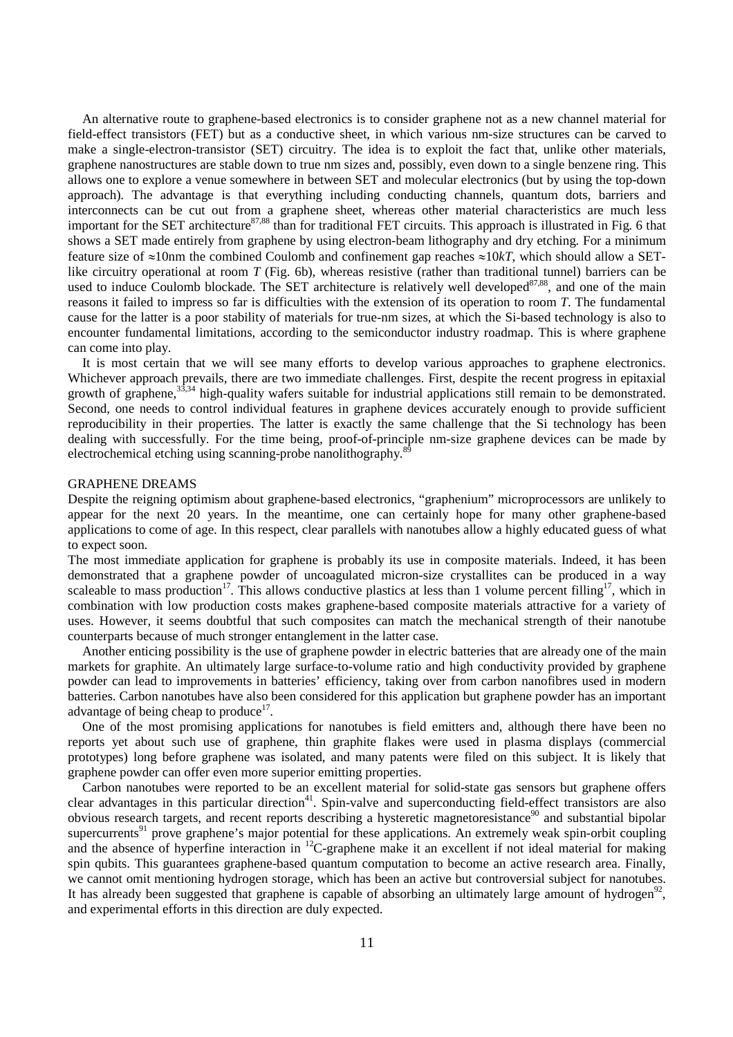An alternative route to graphene-based electronics is to consider graphene not as a new channel material for field-effect transistors (FET) but as a conductive sheet, in which various nm-size structures can be carved to make a single-electron-transistor (SET) circuitry. The idea is to exploit the fact that, unlike other materials, graphene nanostructures are stable down to true nm sizes and, possibly, even down to a single benzene ring. This allows one to explore a venue somewhere in between SET and molecular electronics (but by using the top-down approach). The advantage is that everything including conducting channels, quantum dots, barriers and interconnects can be cut out from a graphene sheet, whereas other material characteristics are much less important for the SET architecture<sup>87,88</sup> than for traditional FET circuits. This approach is illustrated in Fig. 6 that shows a SET made entirely from graphene by using electron-beam lithography and dry etching. For a minimum feature size of ≈10nm the combined Coulomb and confinement gap reaches ≈10*kT*, which should allow a SETlike circuitry operational at room *T* (Fig. 6b), whereas resistive (rather than traditional tunnel) barriers can be used to induce Coulomb blockade. The SET architecture is relatively well developed<sup>87,88</sup>, and one of the main reasons it failed to impress so far is difficulties with the extension of its operation to room *T*. The fundamental cause for the latter is a poor stability of materials for true-nm sizes, at which the Si-based technology is also to encounter fundamental limitations, according to the semiconductor industry roadmap. This is where graphene can come into play.

It is most certain that we will see many efforts to develop various approaches to graphene electronics. Whichever approach prevails, there are two immediate challenges. First, despite the recent progress in epitaxial growth of graphene,  $33,34$  high-quality wafers suitable for industrial applications still remain to be demonstrated. Second, one needs to control individual features in graphene devices accurately enough to provide sufficient reproducibility in their properties. The latter is exactly the same challenge that the Si technology has been dealing with successfully. For the time being, proof-of-principle nm-size graphene devices can be made by electrochemical etching using scanning-probe nanolithography.<sup>89</sup>

### GRAPHENE DREAMS

Despite the reigning optimism about graphene-based electronics, "graphenium" microprocessors are unlikely to appear for the next 20 years. In the meantime, one can certainly hope for many other graphene-based applications to come of age. In this respect, clear parallels with nanotubes allow a highly educated guess of what to expect soon.

The most immediate application for graphene is probably its use in composite materials. Indeed, it has been demonstrated that a graphene powder of uncoagulated micron-size crystallites can be produced in a way scaleable to mass production<sup>17</sup>. This allows conductive plastics at less than 1 volume percent filling<sup>17</sup>, which in combination with low production costs makes graphene-based composite materials attractive for a variety of uses. However, it seems doubtful that such composites can match the mechanical strength of their nanotube counterparts because of much stronger entanglement in the latter case.

Another enticing possibility is the use of graphene powder in electric batteries that are already one of the main markets for graphite. An ultimately large surface-to-volume ratio and high conductivity provided by graphene powder can lead to improvements in batteries' efficiency, taking over from carbon nanofibres used in modern batteries. Carbon nanotubes have also been considered for this application but graphene powder has an important advantage of being cheap to produce $^{17}$ .

One of the most promising applications for nanotubes is field emitters and, although there have been no reports yet about such use of graphene, thin graphite flakes were used in plasma displays (commercial prototypes) long before graphene was isolated, and many patents were filed on this subject. It is likely that graphene powder can offer even more superior emitting properties.

Carbon nanotubes were reported to be an excellent material for solid-state gas sensors but graphene offers clear advantages in this particular direction<sup>41</sup>. Spin-valve and superconducting field-effect transistors are also obvious research targets, and recent reports describing a hysteretic magnetoresistance<sup>90</sup> and substantial bipolar supercurrents<sup>91</sup> prove graphene's major potential for these applications. An extremely weak spin-orbit coupling and the absence of hyperfine interaction in 12C-graphene make it an excellent if not ideal material for making spin qubits. This guarantees graphene-based quantum computation to become an active research area. Finally, we cannot omit mentioning hydrogen storage, which has been an active but controversial subject for nanotubes. It has already been suggested that graphene is capable of absorbing an ultimately large amount of hydrogen<sup>92</sup>. and experimental efforts in this direction are duly expected.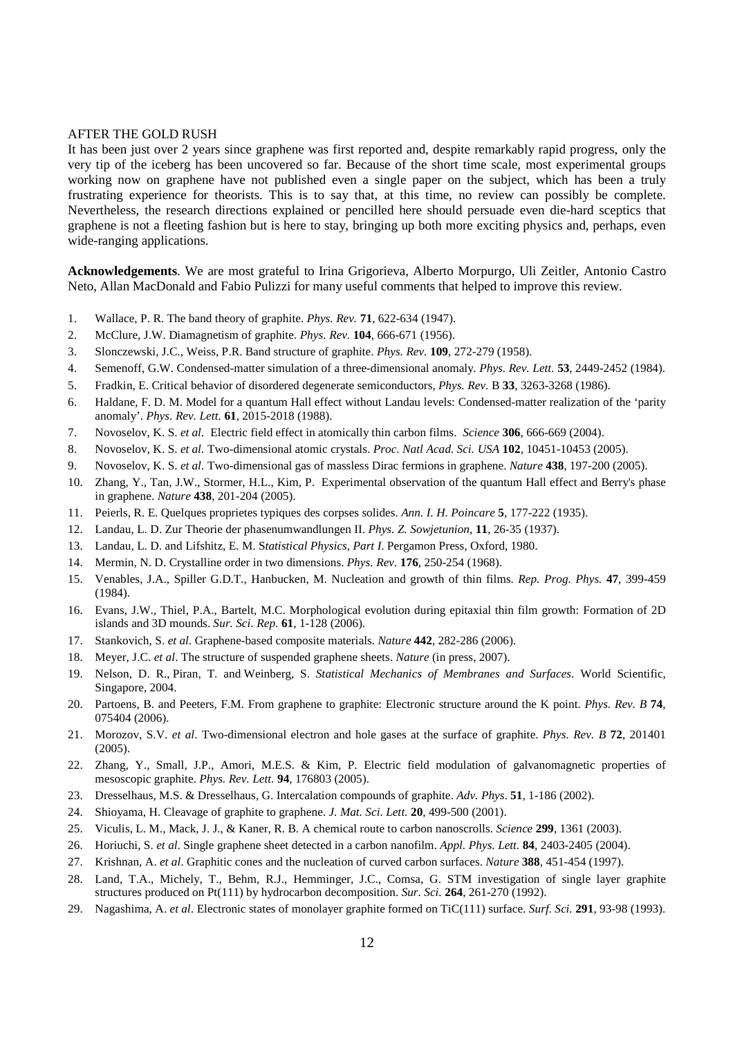### AFTER THE GOLD RUSH

It has been just over 2 years since graphene was first reported and, despite remarkably rapid progress, only the very tip of the iceberg has been uncovered so far. Because of the short time scale, most experimental groups working now on graphene have not published even a single paper on the subject, which has been a truly frustrating experience for theorists. This is to say that, at this time, no review can possibly be complete. Nevertheless, the research directions explained or pencilled here should persuade even die-hard sceptics that graphene is not a fleeting fashion but is here to stay, bringing up both more exciting physics and, perhaps, even wide-ranging applications.

**Acknowledgements**. We are most grateful to Irina Grigorieva, Alberto Morpurgo, Uli Zeitler, Antonio Castro Neto, Allan MacDonald and Fabio Pulizzi for many useful comments that helped to improve this review.

- 1. Wallace, P. R. The band theory of graphite. *Phys. Rev.* **71**, 622-634 (1947).
- 2. McClure, J.W. Diamagnetism of graphite. *Phys. Rev.* **104**, 666-671 (1956).
- 3. Slonczewski, J.C., Weiss, P.R. Band structure of graphite. *Phys. Rev.* **109**, 272-279 (1958).
- 4. Semenoff, G.W. Condensed-matter simulation of a three-dimensional anomaly. *Phys. Rev. Lett.* **53**, 2449-2452 (1984).
- 5. Fradkin, E. Critical behavior of disordered degenerate semiconductors, *Phys. Rev.* B **33**, 3263-3268 (1986).
- 6. Haldane, F. D. M. Model for a quantum Hall effect without Landau levels: Condensed-matter realization of the 'parity anomaly'. *Phys. Rev. Lett.* **61**, 2015-2018 (1988).
- 7. Novoselov, K. S. *et al.* Electric field effect in atomically thin carbon films. *Science* **306**, 666-669 (2004).
- 8. Novoselov, K. S. *et al.* Two-dimensional atomic crystals. *Proc. Natl Acad. Sci. USA* **102**, 10451-10453 (2005).
- 9. Novoselov, K. S. *et al.* Two-dimensional gas of massless Dirac fermions in graphene. *Nature* **438**, 197-200 (2005).
- 10. Zhang, Y., Tan, J.W., Stormer, H.L., Kim, P. Experimental observation of the quantum Hall effect and Berry's phase in graphene. *Nature* **438**, 201-204 (2005).
- 11. Peierls, R. E. Quelques proprietes typiques des corpses solides. *Ann. I. H. Poincare* **5**, 177-222 (1935).
- 12. Landau, L. D. Zur Theorie der phasenumwandlungen II. *Phys. Z. Sowjetunion*, **11**, 26-35 (1937).
- 13. Landau, L. D. and Lifshitz, E. M. S*tatistical Physics, Part I*. Pergamon Press, Oxford, 1980.
- 14. Mermin, N. D. Crystalline order in two dimensions. *Phys. Rev.* **176**, 250-254 (1968).
- 15. Venables, J.A., Spiller G.D.T., Hanbucken, M. Nucleation and growth of thin films. *Rep. Prog. Phys.* **47**, 399-459 (1984).
- 16. Evans, J.W., Thiel, P.A., Bartelt, M.C. Morphological evolution during epitaxial thin film growth: Formation of 2D islands and 3D mounds. *Sur. Sci. Rep.* **61**, 1-128 (2006).
- 17. Stankovich, S. *et al*. Graphene-based composite materials. *Nature* **442**, 282-286 (2006).
- 18. Meyer, J.C. *et al*. The structure of suspended graphene sheets. *Nature* (in press, 2007).
- 19. Nelson, D. R., Piran, T. and Weinberg, S. *Statistical Mechanics of Membranes and Surfaces*. World Scientific, Singapore, 2004.
- 20. Partoens, B. and Peeters, F.M. From graphene to graphite: Electronic structure around the K point. *Phys. Rev. B* **74**, 075404 (2006).
- 21. Morozov, S.V. *et al*. Two-dimensional electron and hole gases at the surface of graphite. *Phys. Rev. B* **72**, 201401 (2005).
- 22. Zhang, Y., Small, J.P., Amori, M.E.S. & Kim, P. Electric field modulation of galvanomagnetic properties of mesoscopic graphite. *Phys. Rev. Lett.* **94**, 176803 (2005).
- 23. Dresselhaus, M.S. & Dresselhaus, G. Intercalation compounds of graphite. *Adv. Phys*. **51**, 1-186 (2002).
- 24. Shioyama, H. Cleavage of graphite to graphene. *J. Mat. Sci. Lett.* **20**, 499-500 (2001).
- 25. Viculis, L. M., Mack, J. J., & Kaner, R. B. A chemical route to carbon nanoscrolls. *Science* **299**, 1361 (2003).
- 26. Horiuchi, S. *et al*. Single graphene sheet detected in a carbon nanofilm. *Appl. Phys. Lett.* **84**, 2403-2405 (2004).
- 27. Krishnan, A. *et al*. Graphitic cones and the nucleation of curved carbon surfaces. *Nature* **388**, 451-454 (1997).
- 28. Land, T.A., Michely, T., Behm, R.J., Hemminger, J.C., Comsa, G. STM investigation of single layer graphite structures produced on Pt(111) by hydrocarbon decomposition. *Sur. Sci.* **264**, 261-270 (1992).
- 29. Nagashima, A. *et al*. Electronic states of monolayer graphite formed on TiC(111) surface. *Surf. Sci.* **291**, 93-98 (1993).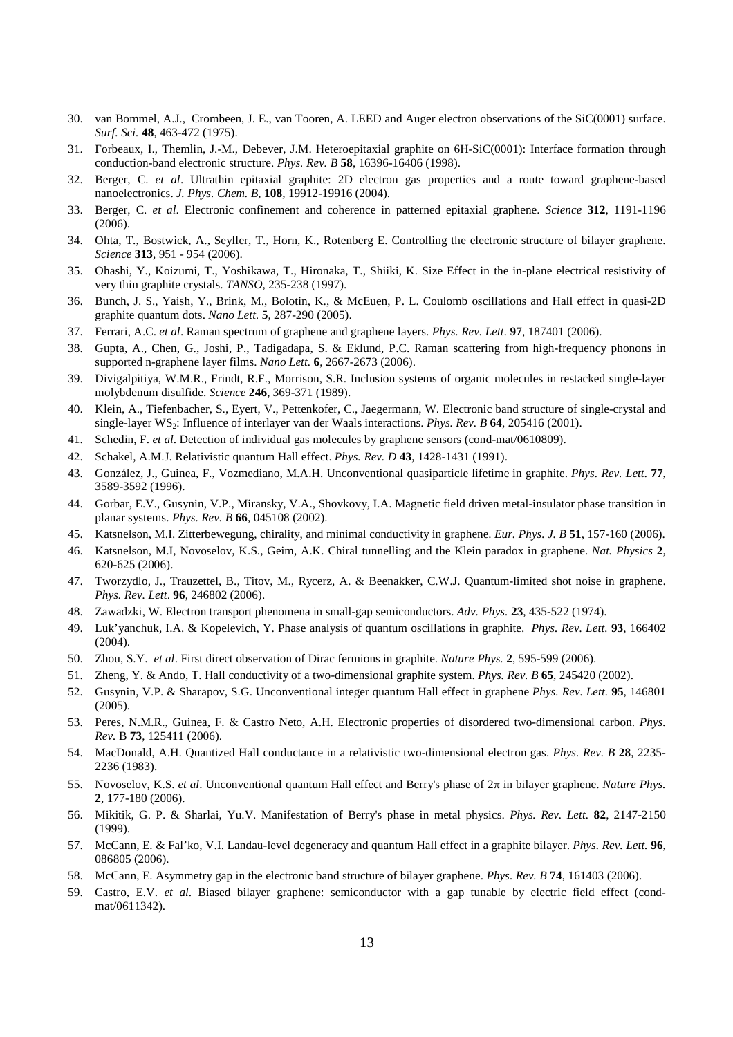- 30. van Bommel, A.J., Crombeen, J. E., van Tooren, A. LEED and Auger electron observations of the SiC(0001) surface. *Surf. Sci.* **48**, 463-472 (1975).
- 31. Forbeaux, I., Themlin, J.-M., Debever, J.M. Heteroepitaxial graphite on 6H-SiC(0001): Interface formation through conduction-band electronic structure. *Phys. Rev. B* **58**, 16396-16406 (1998).
- 32. Berger, C. *et al*. Ultrathin epitaxial graphite: 2D electron gas properties and a route toward graphene-based nanoelectronics. *J. Phys. Chem. B*, **108***,* 19912-19916 (2004).
- 33. Berger, C. *et al*. Electronic confinement and coherence in patterned epitaxial graphene. *Science* **312**, 1191-1196 (2006).
- 34. Ohta, T., Bostwick, A., Seyller, T., Horn, K., Rotenberg E. Controlling the electronic structure of bilayer graphene. *Science* **313**, 951 - 954 (2006).
- 35. Ohashi, Y., Koizumi, T., Yoshikawa, T., Hironaka, T., Shiiki, K. Size Effect in the in-plane electrical resistivity of very thin graphite crystals. *TANSO*, 235-238 (1997).
- 36. Bunch, J. S., Yaish, Y., Brink, M., Bolotin, K., & McEuen, P. L. Coulomb oscillations and Hall effect in quasi-2D graphite quantum dots. *Nano Lett.* **5**, 287-290 (2005).
- 37. Ferrari, A.C. *et al*. Raman spectrum of graphene and graphene layers. *Phys. Rev. Lett.* **97**, 187401 (2006).
- 38. Gupta, A., Chen, G., Joshi, P., Tadigadapa, S. & Eklund, P.C. Raman scattering from high-frequency phonons in supported n-graphene layer films. *Nano Lett.* **6**, 2667-2673 (2006).
- 39. Divigalpitiya, W.M.R., Frindt, R.F., Morrison, S.R. Inclusion systems of organic molecules in restacked single-layer molybdenum disulfide. *Science* **246**, 369-371 (1989).
- 40. Klein, A., Tiefenbacher, S., Eyert, V., Pettenkofer, C., Jaegermann, W. Electronic band structure of single-crystal and single-layer WS2: Influence of interlayer van der Waals interactions. *Phys. Rev. B* **64**, 205416 (2001).
- 41. Schedin, F. *et al*. Detection of individual gas molecules by graphene sensors (cond-mat/0610809).
- 42. Schakel, A.M.J. Relativistic quantum Hall effect. *Phys. Rev. D* **43**, 1428-1431 (1991).
- 43. González, J., Guinea, F., Vozmediano, M.A.H. Unconventional quasiparticle lifetime in graphite. *Phys. Rev. Lett.* **77**, 3589-3592 (1996).
- 44. Gorbar, E.V., Gusynin, V.P., Miransky, V.A., Shovkovy, I.A. Magnetic field driven metal-insulator phase transition in planar systems. *Phys. Rev. B* **66**, 045108 (2002).
- 45. Katsnelson, M.I. Zitterbewegung, chirality, and minimal conductivity in graphene. *Eur. Phys. J. B* **51**, 157-160 (2006).
- 46. Katsnelson, M.I, Novoselov, K.S., Geim, A.K. Chiral tunnelling and the Klein paradox in graphene. *Nat. Physics* **2**, 620-625 (2006).
- 47. Tworzydlo, J., Trauzettel, B., Titov, M., Rycerz, A. & Beenakker, C.W.J. Quantum-limited shot noise in graphene. *Phys. Rev. Lett*. **96**, 246802 (2006).
- 48. Zawadzki, W. Electron transport phenomena in small-gap semiconductors. *Adv. Phys.* **23**, 435-522 (1974).
- 49. Luk'yanchuk, I.A. & Kopelevich, Y. Phase analysis of quantum oscillations in graphite. *Phys. Rev. Lett.* **93**, 166402 (2004).
- 50. Zhou, S.Y. *et al*. First direct observation of Dirac fermions in graphite. *Nature Phys.* **2**, 595-599 (2006).
- 51. Zheng, Y. & Ando, T. Hall conductivity of a two-dimensional graphite system. *Phys. Rev. B* **65**, 245420 (2002).
- 52. Gusynin, V.P. & Sharapov, S.G. Unconventional integer quantum Hall effect in graphene *Phys. Rev. Lett.* **95**, 146801 (2005).
- 53. Peres, N.M.R., Guinea, F. & Castro Neto, A.H. Electronic properties of disordered two-dimensional carbon. *Phys. Rev.* B **73**, 125411 (2006).
- 54. MacDonald, A.H. Quantized Hall conductance in a relativistic two-dimensional electron gas. *Phys. Rev. B* **28**, 2235- 2236 (1983).
- 55. Novoselov, K.S. *et al*. Unconventional quantum Hall effect and Berry's phase of 2π in bilayer graphene. *Nature Phys.* **2**, 177-180 (2006).
- 56. Mikitik, G. P. & Sharlai, Yu.V. Manifestation of Berry's phase in metal physics. *Phys. Rev. Lett.* **82**, 2147-2150 (1999).
- 57. McCann, E. & Fal'ko, V.I. Landau-level degeneracy and quantum Hall effect in a graphite bilayer. *Phys. Rev. Lett.* **96**, 086805 (2006).
- 58. McCann, E. Asymmetry gap in the electronic band structure of bilayer graphene. *Phys. Rev. B* **74**, 161403 (2006).
- 59. Castro, E.V. *et al*. Biased bilayer graphene: semiconductor with a gap tunable by electric field effect (condmat/0611342).